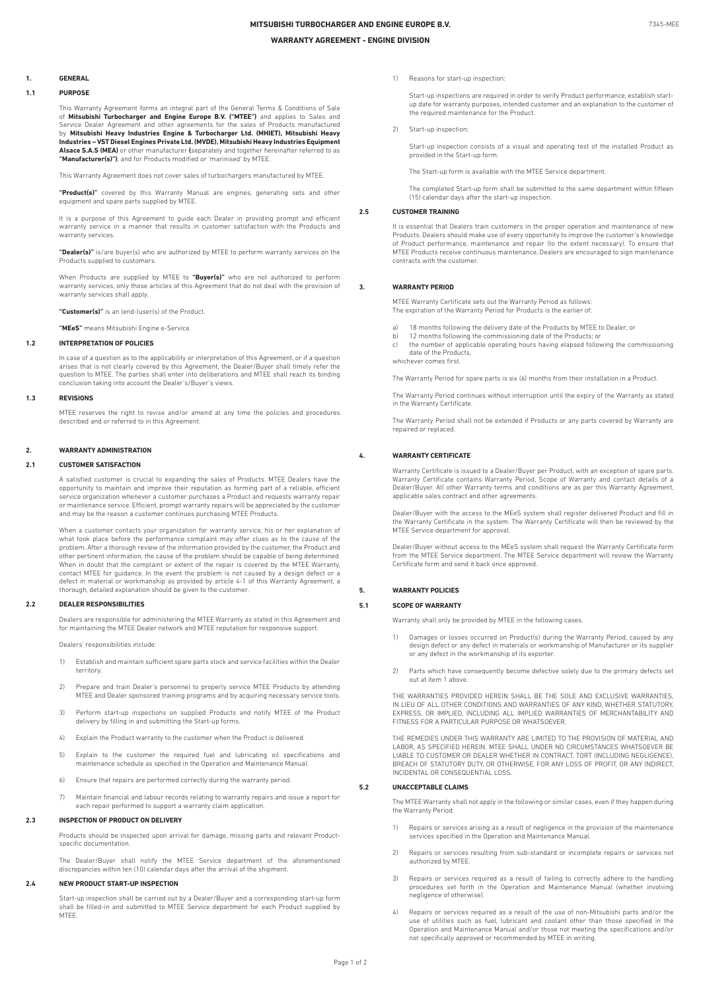## 7345-MEE

### **1. GENERAL**

### **1.1 PURPOSE**

This Warranty Agreement forms an integral part of the General Terms & Conditions of Sale of **Mitsubishi Turbocharger and Engine Europe B.V. ("MTEE")** and applies to Sales and Service Dealer Agreement and other agreements for the sales of Products manufactured by **Mitsubishi Heavy Industries Engine & Turbocharger Ltd. (MHIET), Mitsubishi Heavy Industries – VST Diesel Engines Private Ltd. (MVDE), Mitsubishi Heavy Industries Equipment Alsace S.A.S (MEA)** or other manufacturer **(**separately and together hereinafter referred to as **"Manufacturer(s)")**, and for Products modified or 'marinised' by MTEE.

This Warranty Agreement does not cover sales of turbochargers manufactured by MTEE.

**"Product(s)"** covered by this Warranty Manual are engines, generating sets and other equipment and spare parts supplied by MTEE.

It is a purpose of this Agreement to guide each Dealer in providing prompt and efficient warranty service in a manner that results in customer satisfaction with the Products and warranty services.

**"Dealer(s)"** is/are buyer(s) who are authorized by MTEE to perform warranty services on the Products supplied to customers.

When Products are supplied by MTEE to **"Buyer(s)"** who are not authorized to perform warranty services, only those articles of this Agreement that do not deal with the provision of warranty services shall apply.

**"Customer(s)"** is an (end-)user(s) of the Product.

**"MEeS"** means Mitsubishi Engine e-Service.

### **1.2 INTERPRETATION OF POLICIES**

In case of a question as to the applicability or interpretation of this Agreement, or if a question arises that is not clearly covered by this Agreement, the Dealer/Buyer shall timely refer the question to MTEE. The parties shall enter into deliberations and MTEE shall reach its binding conclusion taking into account the Dealer's/Buyer's views.

### **1.3 REVISIONS**

MTEE reserves the right to revise and/or amend at any time the policies and procedures described and or referred to in this Agreement.

### **2. WARRANTY ADMINISTRATION**

### **2.1 CUSTOMER SATISFACTION**

A satisfied customer is crucial to expanding the sales of Products. MTEE Dealers have the opportunity to maintain and improve their reputation as forming part of a reliable, efficient service organization whenever a customer purchases a Product and requests warranty repair or maintenance service. Efficient, prompt warranty repairs will be appreciated by the customer and may be the reason a customer continues purchasing MTEE Products.

When a customer contacts your organization for warranty service, his or her explanation of what took place before the performance complaint may offer clues as to the cause of the problem. After a thorough review of the information provided by the customer, the Product and other pertinent information, the cause of the problem should be capable of being determined. When in doubt that the complaint or extent of the repair is covered by the MTEE Warranty, contact MTEE for guidance. In the event the problem is not caused by a design defect or a defect in material or workmanship as provided by article 4-1 of this Warranty Agreement, a thorough, detailed explanation should be given to the customer.

### **2.2 DEALER RESPONSIBILITIES**

Dealers are responsible for administering the MTEE Warranty as stated in this Agreement and for maintaining the MTEE Dealer network and MTEE reputation for responsive support.

Dealers' responsibilities include:

- 1) Establish and maintain sufficient spare parts stock and service facilities within the Dealer territory.
- 2) Prepare and train Dealer's personnel to properly service MTEE Products by attending MTEE and Dealer sponsored training programs and by acquiring necessary service tools.
- 3) Perform start-up inspections on supplied Products and notify MTEE of the Product delivery by filling in and submitting the Start-up forms.
- 4) Explain the Product warranty to the customer when the Product is delivered.
- 5) Explain to the customer the required fuel and lubricating oil specifications and maintenance schedule as specified in the Operation and Maintenance Manual.
- 6) Ensure that repairs are performed correctly during the warranty period.
- 7) Maintain financial and labour records relating to warranty repairs and issue a report for each repair performed to support a warranty claim application.

### **2.3 INSPECTION OF PRODUCT ON DELIVERY**

Products should be inspected upon arrival for damage, missing parts and relevant Productspecific documentation.

The Dealer/Buyer shall notify the MTEE Service department of the aforementioned discrepancies within ten (10) calendar days after the arrival of the shipment.

### **2.4 NEW PRODUCT START-UP INSPECTION**

Start-up inspection shall be carried out by a Dealer/Buyer and a corresponding start-up form shall be filled-in and submitted to MTEE Service department for each Product supplied by MTEE.

1) Reasons for start-up inspection:

Start-up inspections are required in order to verify Product performance, establish startup date for warranty purposes, intended customer and an explanation to the customer of the required maintenance for the Product.

2) Start-up inspection:

Start-up inspection consists of a visual and operating test of the installed Product as provided in the Start-up form.

The Start-up form is available with the MTEE Service department.

The completed Start-up form shall be submitted to the same department within fifteen (15) calendar days after the start-up inspection.

### **2.5 CUSTOMER TRAINING**

It is essential that Dealers train customers in the proper operation and maintenance of new Products. Dealers should make use of every opportunity to improve the customer's knowledge of Product performance, maintenance and repair (to the extent necessary). To ensure that or Froduct performance, maintenance and repair (to the extent necessary). To ensure that contracts with the customer.

### **3. WARRANTY PERIOD**

MTEE Warranty Certificate sets out the Warranty Period as follows: The expiration of the Warranty Period for Products is the earlier of:

- 18 months following the delivery date of the Products by MTEE to Dealer; or
- b) 12 months following the commissioning date of the Products; or c) the number of applicable operating hours having elapsed following the commissioning
- date of the Products,

The Warranty Period for spare parts is six (6) months from their installation in a Product.

The Warranty Period continues without interruption until the expiry of the Warranty as stated in the Warranty Certificate.

The Warranty Period shall not be extended if Products or any parts covered by Warranty are repaired or replaced.

### **4. WARRANTY CERTIFICATE**

whichever comes first.

Warranty Certificate is issued to a Dealer/Buyer per Product, with an exception of spare parts. Warranty Certificate contains Warranty Period, Scope of Warranty and contact details of a Dealer/Buyer. All other Warranty terms and conditions are as per this Warranty Agreement, applicable sales contract and other agreements.

Dealer/Buyer with the access to the MEeS system shall register delivered Product and fill in the Warranty Certificate in the system. The Warranty Certificate will then be reviewed by the MTEE Service department for approval.

Dealer/Buyer without access to the MEeS system shall request the Warranty Certificate form from the MTEE Service department. The MTEE Service department will review the Warranty Certificate form and send it back once approved.

### **5. WARRANTY POLICIES**

### **5.1 SCOPE OF WARRANTY**

Warranty shall only be provided by MTEE in the following cases.

- Damages or losses occurred on Product(s) during the Warranty Period, caused by any design defect or any defect in materials or workmanship of Manufacturer or its supplier or any defect in the workmanship of its exporter.
- Parts which have consequently become defective solely due to the primary defects set out at item 1 above.

THE WARRANTIES PROVIDED HEREIN SHALL BE THE SOLE AND EXCLUSIVE WARRANTIES, IN LIEU OF ALL OTHER CONDITIONS AND WARRANTIES OF ANY KIND, WHETHER STATUTORY, EXPRESS, OR IMPLIED, INCLUDING ALL IMPLIED WARRANTIES OF MERCHANTABILITY AND FITNESS FOR A PARTICULAR PURPOSE OR WHATSOEVER.

THE REMEDIES UNDER THIS WARRANTY ARE LIMITED TO THE PROVISION OF MATERIAL AND LABOR, AS SPECIFIED HEREIN. MTEE SHALL UNDER NO CIRCUMSTANCES WHATSOEVER BE LIABLE TO CUSTOMER OR DEALER WHETHER IN CONTRACT, TORT (INCLUDING NEGLIGENCE), BREACH OF STATUTORY DUTY, OR OTHERWISE, FOR ANY LOSS OF PROFIT, OR ANY INDIRECT, INCIDENTAL OR CONSEQUENTIAL LOSS.

### **5.2 UNACCEPTABLE CLAIMS**

The MTEE Warranty shall not apply in the following or similar cases, even if they happen during the Warranty Period:

- 1) Repairs or services arising as a result of negligence in the provision of the maintenance services specified in the Operation and Maintenance Manual.
- 2) Repairs or services resulting from sub-standard or incomplete repairs or services not authorized by MTEE.
- 3) Repairs or services required as a result of failing to correctly adhere to the handling procedures set forth in the Operation and Maintenance Manual (whether involving negligence of otherwise).
- 4) Repairs or services required as a result of the use of non-Mitsubishi parts and/or the use of utilities such as fuel, lubricant and coolant other than those specified in the Operation and Maintenance Manual and/or those not meeting the specifications and/or not specifically approved or recommended by MTEE in writing.